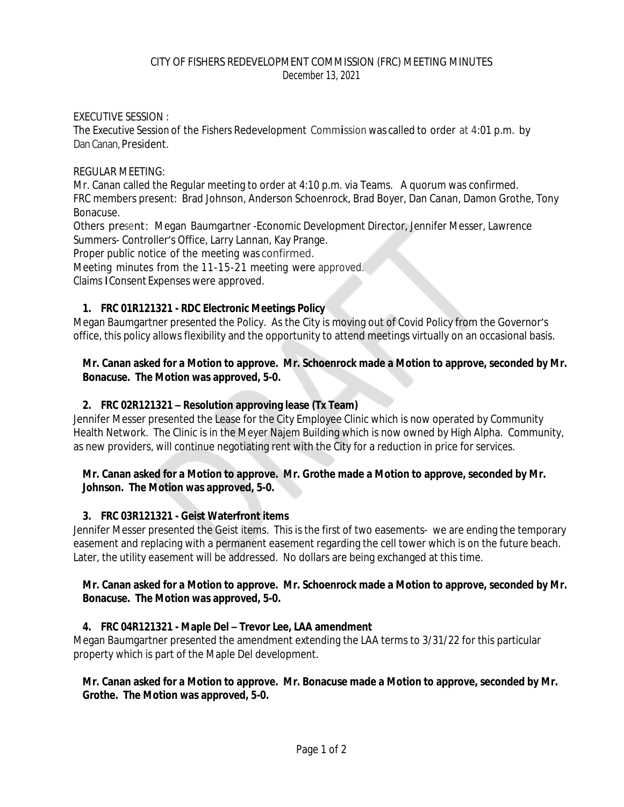### EXECUTIVE SESSION :

The Executive Session of the Fishers Redevelopment Commission was called to order at 4:01 p.m. by Dan Canan, President.

#### REGULAR MEETING:

Mr. Canan called the Regular meeting to order at 4:10 p.m. via Teams. A quorum was confirmed. FRC members present: Brad Johnson, Anderson Schoenrock, Brad Boyer, Dan Canan, Damon Grothe, Tony Bonacuse.

Others present: Megan Baumgartner -Economic Development Director, Jennifer Messer, Lawrence Summers- Controller's Office, Larry Lannan, Kay Prange.

Proper public notice of the meeting was confirmed.

Meeting minutes from the 11-15-21 meeting were approved.

Claims *I*Consent Expenses were approved.

# **1. FRC 01R121321 - RDC Electronic Meetings Policy**

Megan Baumgartner presented the Policy. As the City is moving out of Covid Policy from the Governor's office, this policy allows flexibility and the opportunity to attend meetings virtually on an occasional basis.

### **Mr. Canan asked for a Motion to approve. Mr. Schoenrock made a Motion to approve, seconded by Mr. Bonacuse. The Motion was approved, 5-0.**

# **2. FRC 02R121321 – Resolution approving lease (Tx Team)**

Jennifer Messer presented the Lease for the City Employee Clinic which is now operated by Community Health Network. The Clinic is in the Meyer Najem Building which is now owned by High Alpha. Community, as new providers, will continue negotiating rent with the City for a reduction in price for services.

### **Mr. Canan asked for a Motion to approve. Mr. Grothe made a Motion to approve, seconded by Mr. Johnson. The Motion was approved, 5-0.**

# **3. FRC 03R121321 - Geist Waterfront items**

Jennifer Messer presented the Geist items. This is the first of two easements- we are ending the temporary easement and replacing with a permanent easement regarding the cell tower which is on the future beach. Later, the utility easement will be addressed. No dollars are being exchanged at this time.

### **Mr. Canan asked for a Motion to approve. Mr. Schoenrock made a Motion to approve, seconded by Mr. Bonacuse. The Motion was approved, 5-0.**

# **4. FRC 04R121321 - Maple Del – Trevor Lee, LAA amendment**

Megan Baumgartner presented the amendment extending the LAA terms to 3/31/22 for this particular property which is part of the Maple Del development.

### **Mr. Canan asked for a Motion to approve. Mr. Bonacuse made a Motion to approve, seconded by Mr. Grothe. The Motion was approved, 5-0.**